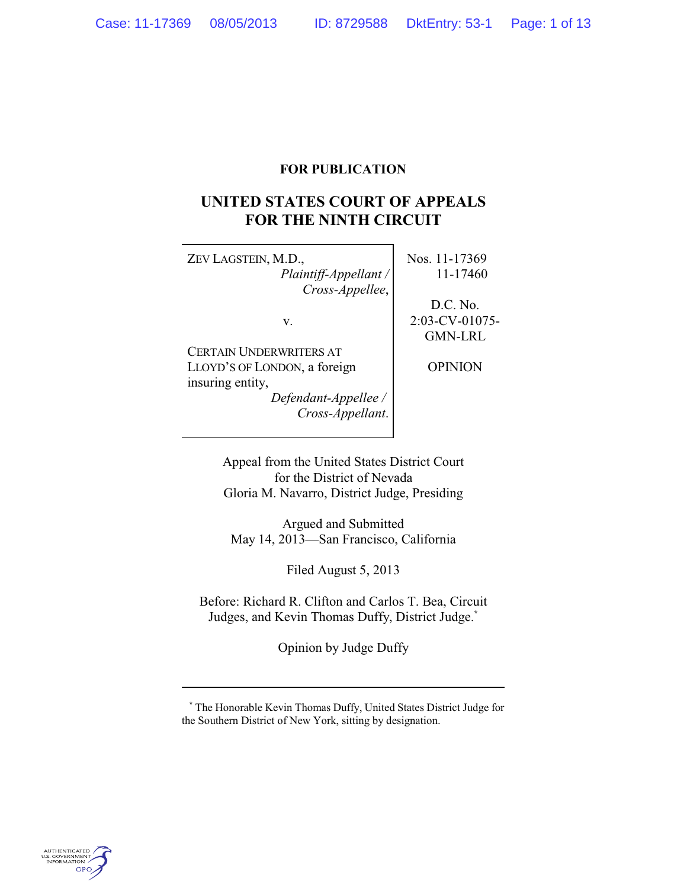## **FOR PUBLICATION**

# **UNITED STATES COURT OF APPEALS FOR THE NINTH CIRCUIT**

ZEV LAGSTEIN, M.D., *Plaintiff-Appellant / Cross-Appellee*,

v.

CERTAIN UNDERWRITERS AT LLOYD'S OF LONDON, a foreign insuring entity,

*Defendant-Appellee / Cross-Appellant*. Nos. 11-17369 11-17460

D.C. No. 2:03-CV-01075- GMN-LRL

OPINION

Appeal from the United States District Court for the District of Nevada Gloria M. Navarro, District Judge, Presiding

Argued and Submitted May 14, 2013—San Francisco, California

Filed August 5, 2013

Before: Richard R. Clifton and Carlos T. Bea, Circuit Judges, and Kevin Thomas Duffy, District Judge.**\***

Opinion by Judge Duffy



**<sup>\*</sup>** The Honorable Kevin Thomas Duffy, United States District Judge for the Southern District of New York, sitting by designation.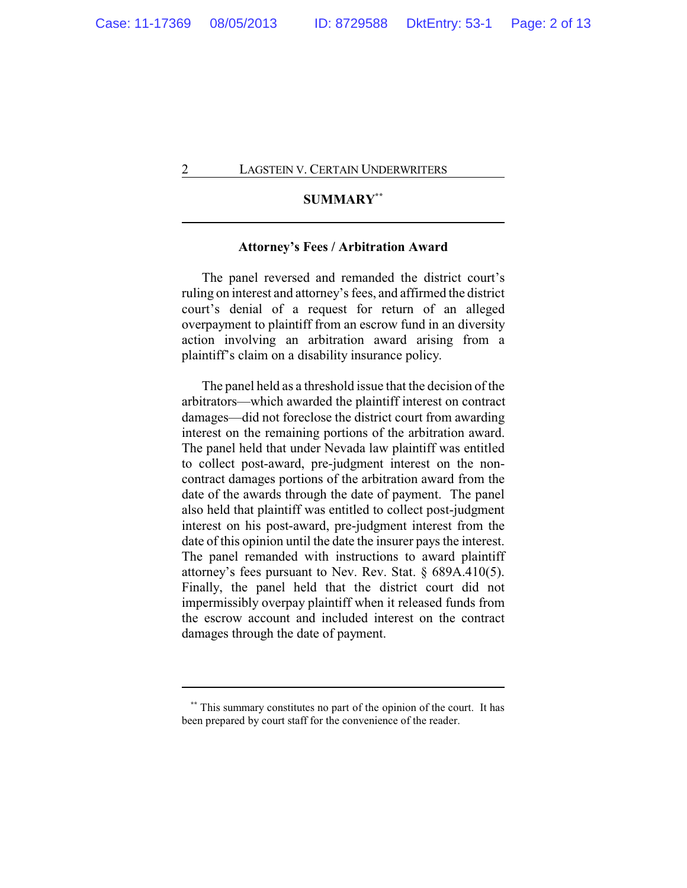## **SUMMARY\*\***

## **Attorney's Fees / Arbitration Award**

The panel reversed and remanded the district court's ruling on interest and attorney's fees, and affirmed the district court's denial of a request for return of an alleged overpayment to plaintiff from an escrow fund in an diversity action involving an arbitration award arising from a plaintiff's claim on a disability insurance policy.

The panel held as a threshold issue that the decision of the arbitrators—which awarded the plaintiff interest on contract damages—did not foreclose the district court from awarding interest on the remaining portions of the arbitration award. The panel held that under Nevada law plaintiff was entitled to collect post-award, pre-judgment interest on the noncontract damages portions of the arbitration award from the date of the awards through the date of payment. The panel also held that plaintiff was entitled to collect post-judgment interest on his post-award, pre-judgment interest from the date of this opinion until the date the insurer pays the interest. The panel remanded with instructions to award plaintiff attorney's fees pursuant to Nev. Rev. Stat. § 689A.410(5). Finally, the panel held that the district court did not impermissibly overpay plaintiff when it released funds from the escrow account and included interest on the contract damages through the date of payment.

**<sup>\*\*</sup>** This summary constitutes no part of the opinion of the court. It has been prepared by court staff for the convenience of the reader.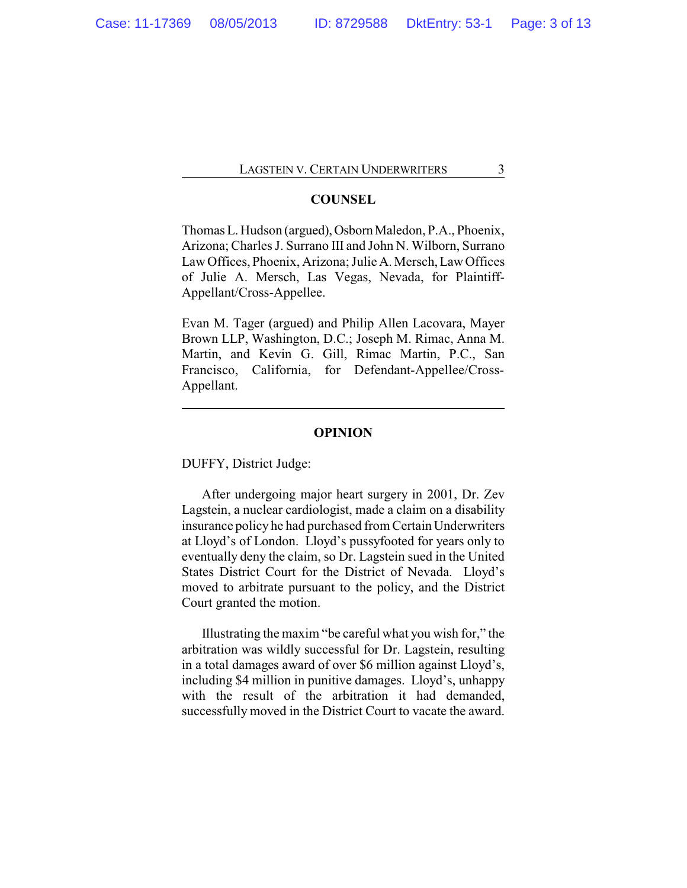## **COUNSEL**

Thomas L. Hudson (argued), Osborn Maledon, P.A., Phoenix, Arizona; Charles J. Surrano III and John N. Wilborn, Surrano Law Offices, Phoenix, Arizona; Julie A. Mersch, Law Offices of Julie A. Mersch, Las Vegas, Nevada, for Plaintiff-Appellant/Cross-Appellee.

Evan M. Tager (argued) and Philip Allen Lacovara, Mayer Brown LLP, Washington, D.C.; Joseph M. Rimac, Anna M. Martin, and Kevin G. Gill, Rimac Martin, P.C., San Francisco, California, for Defendant-Appellee/Cross-Appellant.

## **OPINION**

DUFFY, District Judge:

After undergoing major heart surgery in 2001, Dr. Zev Lagstein, a nuclear cardiologist, made a claim on a disability insurance policy he had purchased from Certain Underwriters at Lloyd's of London. Lloyd's pussyfooted for years only to eventually deny the claim, so Dr. Lagstein sued in the United States District Court for the District of Nevada. Lloyd's moved to arbitrate pursuant to the policy, and the District Court granted the motion.

Illustrating the maxim "be careful what you wish for," the arbitration was wildly successful for Dr. Lagstein, resulting in a total damages award of over \$6 million against Lloyd's, including \$4 million in punitive damages. Lloyd's, unhappy with the result of the arbitration it had demanded, successfully moved in the District Court to vacate the award.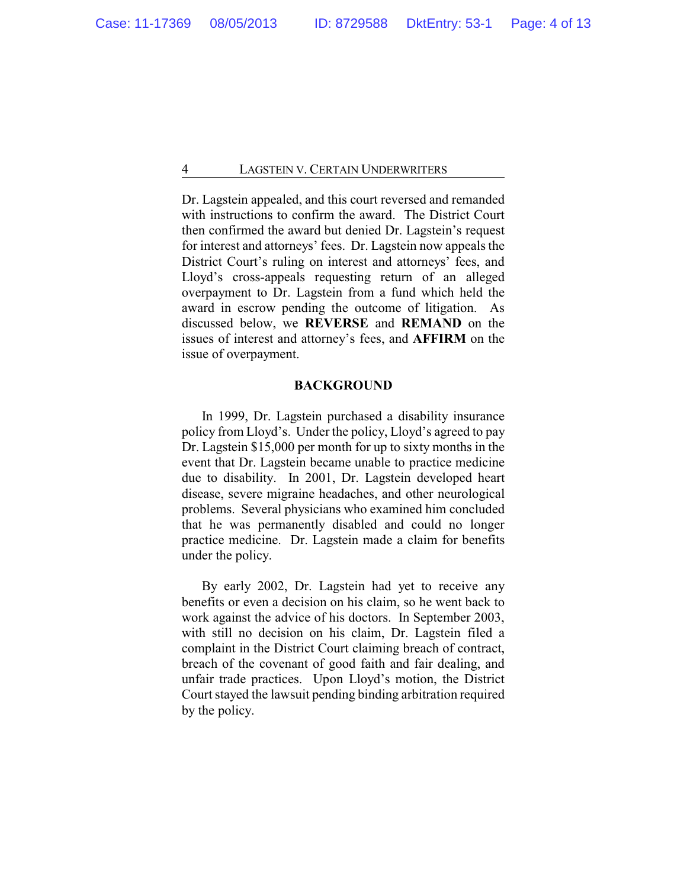Dr. Lagstein appealed, and this court reversed and remanded with instructions to confirm the award. The District Court then confirmed the award but denied Dr. Lagstein's request for interest and attorneys' fees. Dr. Lagstein now appeals the District Court's ruling on interest and attorneys' fees, and Lloyd's cross-appeals requesting return of an alleged overpayment to Dr. Lagstein from a fund which held the award in escrow pending the outcome of litigation. As discussed below, we **REVERSE** and **REMAND** on the issues of interest and attorney's fees, and **AFFIRM** on the issue of overpayment.

#### **BACKGROUND**

In 1999, Dr. Lagstein purchased a disability insurance policy from Lloyd's. Under the policy, Lloyd's agreed to pay Dr. Lagstein \$15,000 per month for up to sixty months in the event that Dr. Lagstein became unable to practice medicine due to disability. In 2001, Dr. Lagstein developed heart disease, severe migraine headaches, and other neurological problems. Several physicians who examined him concluded that he was permanently disabled and could no longer practice medicine. Dr. Lagstein made a claim for benefits under the policy.

By early 2002, Dr. Lagstein had yet to receive any benefits or even a decision on his claim, so he went back to work against the advice of his doctors. In September 2003, with still no decision on his claim, Dr. Lagstein filed a complaint in the District Court claiming breach of contract, breach of the covenant of good faith and fair dealing, and unfair trade practices. Upon Lloyd's motion, the District Court stayed the lawsuit pending binding arbitration required by the policy.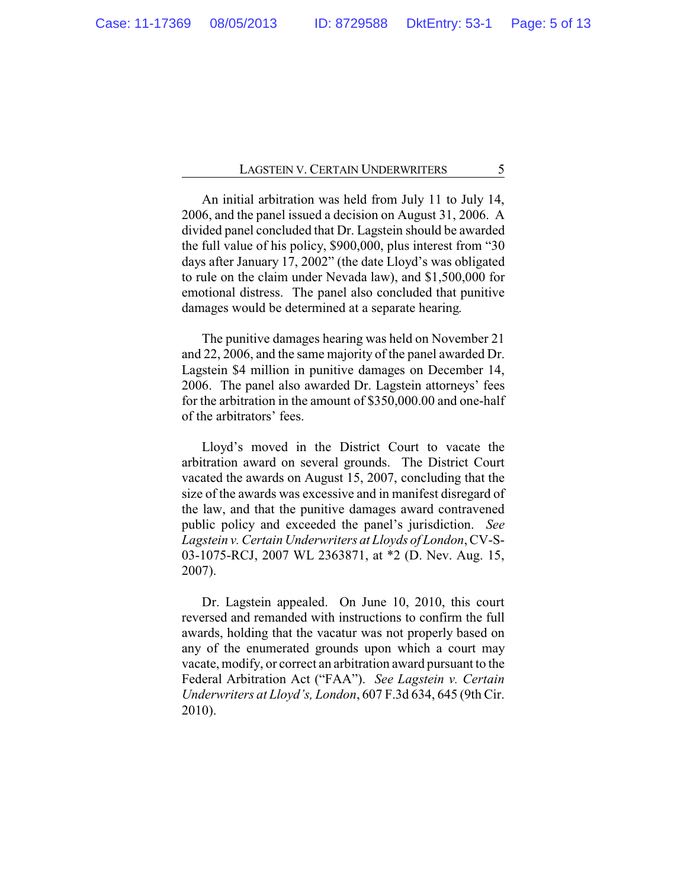An initial arbitration was held from July 11 to July 14, 2006, and the panel issued a decision on August 31, 2006. A divided panel concluded that Dr. Lagstein should be awarded the full value of his policy, \$900,000, plus interest from "30 days after January 17, 2002" (the date Lloyd's was obligated to rule on the claim under Nevada law), and \$1,500,000 for emotional distress. The panel also concluded that punitive damages would be determined at a separate hearing.

The punitive damages hearing was held on November 21 and 22, 2006, and the same majority of the panel awarded Dr. Lagstein \$4 million in punitive damages on December 14, 2006. The panel also awarded Dr. Lagstein attorneys' fees for the arbitration in the amount of \$350,000.00 and one-half of the arbitrators' fees.

Lloyd's moved in the District Court to vacate the arbitration award on several grounds. The District Court vacated the awards on August 15, 2007, concluding that the size of the awards was excessive and in manifest disregard of the law, and that the punitive damages award contravened public policy and exceeded the panel's jurisdiction. *See Lagstein v. Certain Underwriters at Lloyds of London*, CV-S-03-1075-RCJ, 2007 WL 2363871, at \*2 (D. Nev. Aug. 15, 2007).

Dr. Lagstein appealed. On June 10, 2010, this court reversed and remanded with instructions to confirm the full awards, holding that the vacatur was not properly based on any of the enumerated grounds upon which a court may vacate, modify, or correct an arbitration award pursuant to the Federal Arbitration Act ("FAA"). *See Lagstein v. Certain Underwriters at Lloyd's, London*, 607 F.3d 634, 645 (9th Cir. 2010).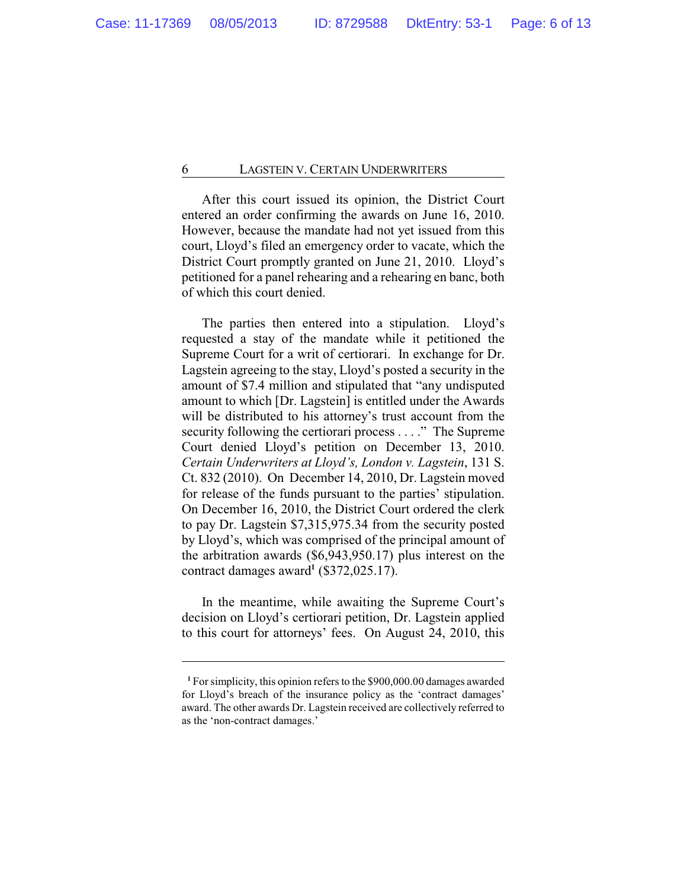After this court issued its opinion, the District Court entered an order confirming the awards on June 16, 2010. However, because the mandate had not yet issued from this court, Lloyd's filed an emergency order to vacate, which the District Court promptly granted on June 21, 2010. Lloyd's petitioned for a panel rehearing and a rehearing en banc, both of which this court denied.

The parties then entered into a stipulation. Lloyd's requested a stay of the mandate while it petitioned the Supreme Court for a writ of certiorari. In exchange for Dr. Lagstein agreeing to the stay, Lloyd's posted a security in the amount of \$7.4 million and stipulated that "any undisputed amount to which [Dr. Lagstein] is entitled under the Awards will be distributed to his attorney's trust account from the security following the certiorari process . . . ." The Supreme Court denied Lloyd's petition on December 13, 2010. *Certain Underwriters at Lloyd's, London v. Lagstein*, 131 S. Ct. 832 (2010). On December 14, 2010, Dr. Lagstein moved for release of the funds pursuant to the parties' stipulation. On December 16, 2010, the District Court ordered the clerk to pay Dr. Lagstein \$7,315,975.34 from the security posted by Lloyd's, which was comprised of the principal amount of the arbitration awards (\$6,943,950.17) plus interest on the contract damages award**<sup>1</sup>** (\$372,025.17).

In the meantime, while awaiting the Supreme Court's decision on Lloyd's certiorari petition, Dr. Lagstein applied to this court for attorneys' fees. On August 24, 2010, this

**<sup>1</sup>** For simplicity, this opinion refers to the \$900,000.00 damages awarded for Lloyd's breach of the insurance policy as the 'contract damages' award. The other awards Dr. Lagstein received are collectively referred to as the 'non-contract damages.'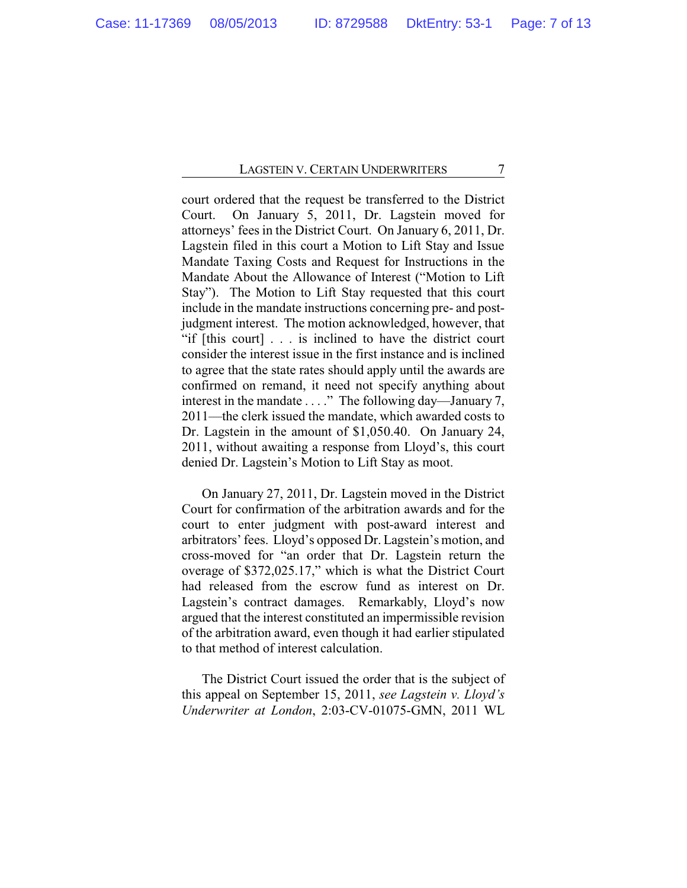court ordered that the request be transferred to the District Court. On January 5, 2011, Dr. Lagstein moved for attorneys' fees in the District Court. On January 6, 2011, Dr. Lagstein filed in this court a Motion to Lift Stay and Issue Mandate Taxing Costs and Request for Instructions in the Mandate About the Allowance of Interest ("Motion to Lift Stay"). The Motion to Lift Stay requested that this court include in the mandate instructions concerning pre- and postjudgment interest. The motion acknowledged, however, that "if [this court] . . . is inclined to have the district court consider the interest issue in the first instance and is inclined to agree that the state rates should apply until the awards are confirmed on remand, it need not specify anything about interest in the mandate . . . ." The following day—January 7, 2011—the clerk issued the mandate, which awarded costs to Dr. Lagstein in the amount of \$1,050.40. On January 24, 2011, without awaiting a response from Lloyd's, this court denied Dr. Lagstein's Motion to Lift Stay as moot.

On January 27, 2011, Dr. Lagstein moved in the District Court for confirmation of the arbitration awards and for the court to enter judgment with post-award interest and arbitrators' fees. Lloyd's opposed Dr. Lagstein's motion, and cross-moved for "an order that Dr. Lagstein return the overage of \$372,025.17," which is what the District Court had released from the escrow fund as interest on Dr. Lagstein's contract damages. Remarkably, Lloyd's now argued that the interest constituted an impermissible revision of the arbitration award, even though it had earlier stipulated to that method of interest calculation.

The District Court issued the order that is the subject of this appeal on September 15, 2011, *see Lagstein v. Lloyd's Underwriter at London*, 2:03-CV-01075-GMN, 2011 WL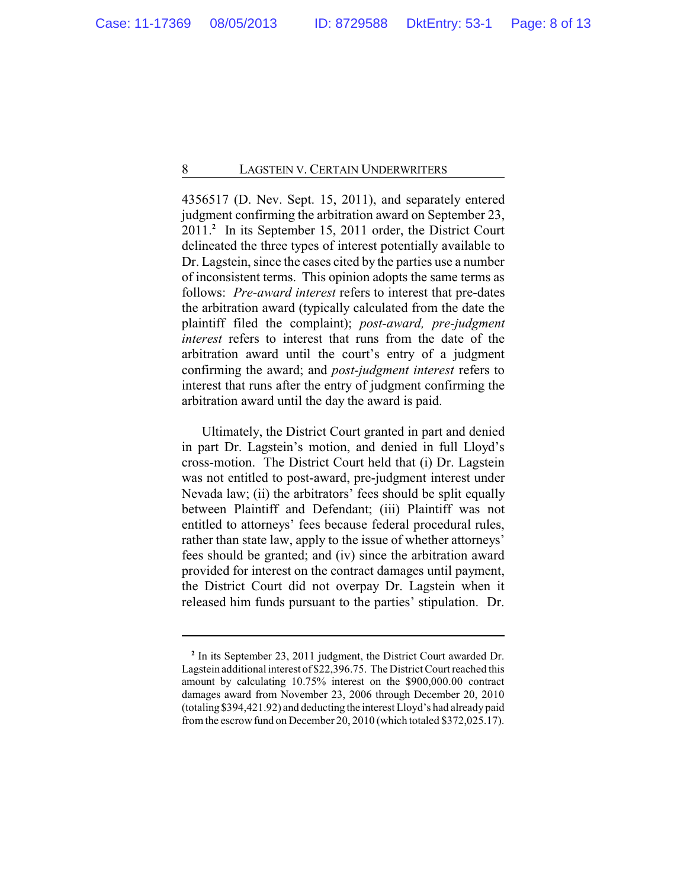4356517 (D. Nev. Sept. 15, 2011), and separately entered judgment confirming the arbitration award on September 23, 2011.**<sup>2</sup>** In its September 15, 2011 order, the District Court delineated the three types of interest potentially available to Dr. Lagstein, since the cases cited by the parties use a number of inconsistent terms. This opinion adopts the same terms as follows: *Pre-award interest* refers to interest that pre-dates the arbitration award (typically calculated from the date the plaintiff filed the complaint); *post-award, pre-judgment interest* refers to interest that runs from the date of the arbitration award until the court's entry of a judgment confirming the award; and *post-judgment interest* refers to interest that runs after the entry of judgment confirming the arbitration award until the day the award is paid.

Ultimately, the District Court granted in part and denied in part Dr. Lagstein's motion, and denied in full Lloyd's cross-motion. The District Court held that (i) Dr. Lagstein was not entitled to post-award, pre-judgment interest under Nevada law; (ii) the arbitrators' fees should be split equally between Plaintiff and Defendant; (iii) Plaintiff was not entitled to attorneys' fees because federal procedural rules, rather than state law, apply to the issue of whether attorneys' fees should be granted; and (iv) since the arbitration award provided for interest on the contract damages until payment, the District Court did not overpay Dr. Lagstein when it released him funds pursuant to the parties' stipulation. Dr.

**<sup>2</sup>** In its September 23, 2011 judgment, the District Court awarded Dr. Lagstein additional interest of \$22,396.75. The District Court reached this amount by calculating 10.75% interest on the \$900,000.00 contract damages award from November 23, 2006 through December 20, 2010 (totaling \$394,421.92) and deducting the interest Lloyd's had already paid fromthe escrowfund on December 20, 2010 (which totaled \$372,025.17).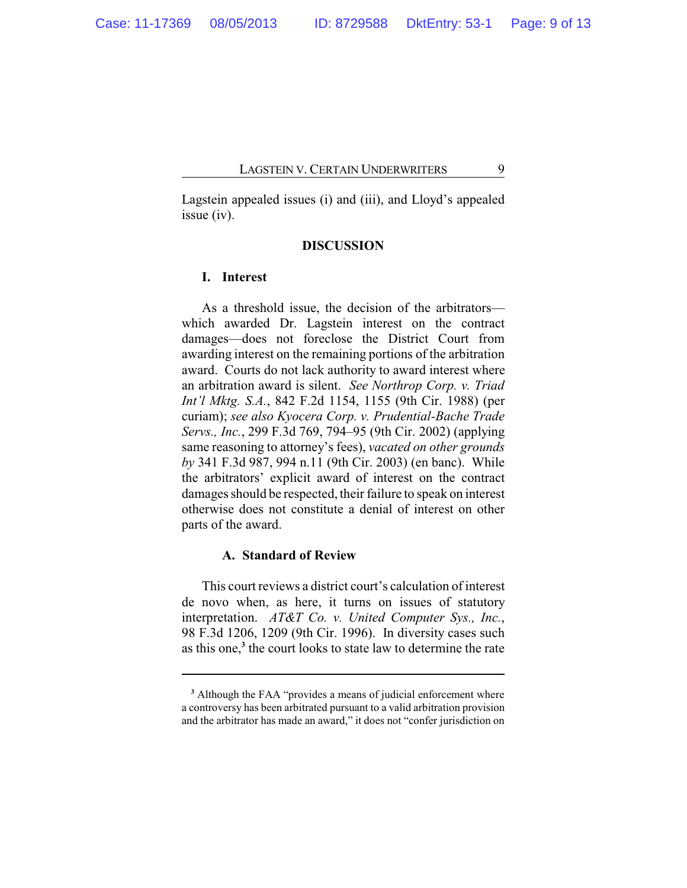Lagstein appealed issues (i) and (iii), and Lloyd's appealed issue (iv).

## **DISCUSSION**

## **I. Interest**

As a threshold issue, the decision of the arbitrators which awarded Dr. Lagstein interest on the contract damages—does not foreclose the District Court from awarding interest on the remaining portions of the arbitration award. Courts do not lack authority to award interest where an arbitration award is silent. *See Northrop Corp. v. Triad Int'l Mktg. S.A.*, 842 F.2d 1154, 1155 (9th Cir. 1988) (per curiam); *see also Kyocera Corp. v. Prudential-Bache Trade Servs., Inc.*, 299 F.3d 769, 794–95 (9th Cir. 2002) (applying same reasoning to attorney's fees), *vacated on other grounds by* 341 F.3d 987, 994 n.11 (9th Cir. 2003) (en banc). While the arbitrators' explicit award of interest on the contract damages should be respected, their failure to speak on interest otherwise does not constitute a denial of interest on other parts of the award.

## **A. Standard of Review**

This court reviews a district court's calculation of interest de novo when, as here, it turns on issues of statutory interpretation. *AT&T Co. v. United Computer Sys., Inc.*, 98 F.3d 1206, 1209 (9th Cir. 1996). In diversity cases such as this one,**<sup>3</sup>** the court looks to state law to determine the rate

**<sup>3</sup>** Although the FAA "provides a means of judicial enforcement where a controversy has been arbitrated pursuant to a valid arbitration provision and the arbitrator has made an award," it does not "confer jurisdiction on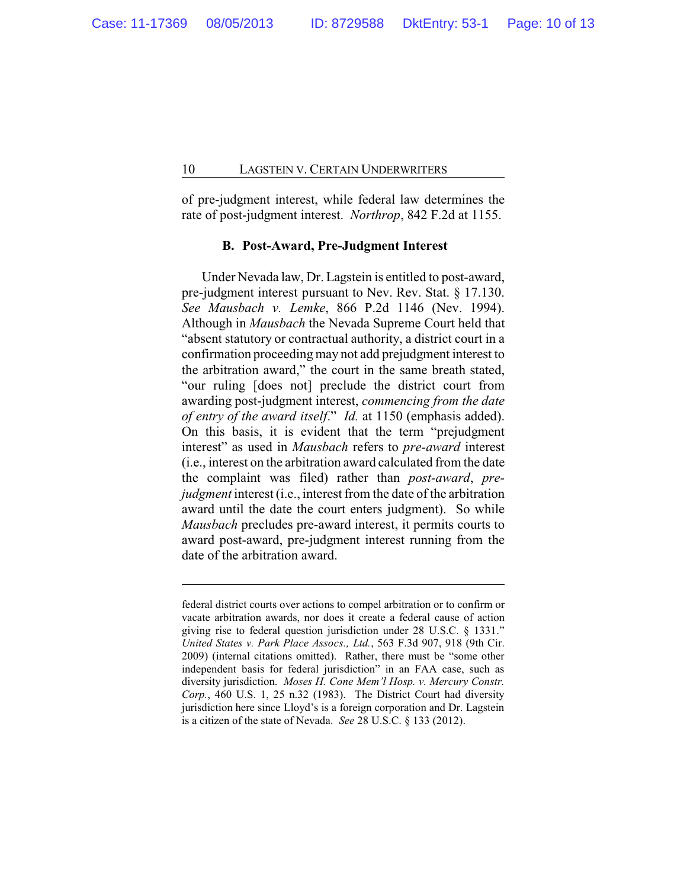of pre-judgment interest, while federal law determines the rate of post-judgment interest. *Northrop*, 842 F.2d at 1155.

## **B. Post-Award, Pre-Judgment Interest**

Under Nevada law, Dr. Lagstein is entitled to post-award, pre-judgment interest pursuant to Nev. Rev. Stat. § 17.130. *See Mausbach v. Lemke*, 866 P.2d 1146 (Nev. 1994). Although in *Mausbach* the Nevada Supreme Court held that "absent statutory or contractual authority, a district court in a confirmation proceeding may not add prejudgment interest to the arbitration award," the court in the same breath stated, "our ruling [does not] preclude the district court from awarding post-judgment interest, *commencing from the date of entry of the award itself*." *Id.* at 1150 (emphasis added). On this basis, it is evident that the term "prejudgment interest" as used in *Mausbach* refers to *pre-award* interest (i.e., interest on the arbitration award calculated from the date the complaint was filed) rather than *post-award*, *prejudgment* interest (*i.e., interest from the date of the arbitration* award until the date the court enters judgment). So while *Mausbach* precludes pre-award interest, it permits courts to award post-award, pre-judgment interest running from the date of the arbitration award.

federal district courts over actions to compel arbitration or to confirm or vacate arbitration awards, nor does it create a federal cause of action giving rise to federal question jurisdiction under 28 U.S.C. § 1331." *United States v. Park Place Assocs., Ltd.*, 563 F.3d 907, 918 (9th Cir. 2009) (internal citations omitted). Rather, there must be "some other independent basis for federal jurisdiction" in an FAA case, such as diversity jurisdiction. *Moses H. Cone Mem'l Hosp. v. Mercury Constr. Corp.*, 460 U.S. 1, 25 n.32 (1983). The District Court had diversity jurisdiction here since Lloyd's is a foreign corporation and Dr. Lagstein is a citizen of the state of Nevada. *See* 28 U.S.C. § 133 (2012).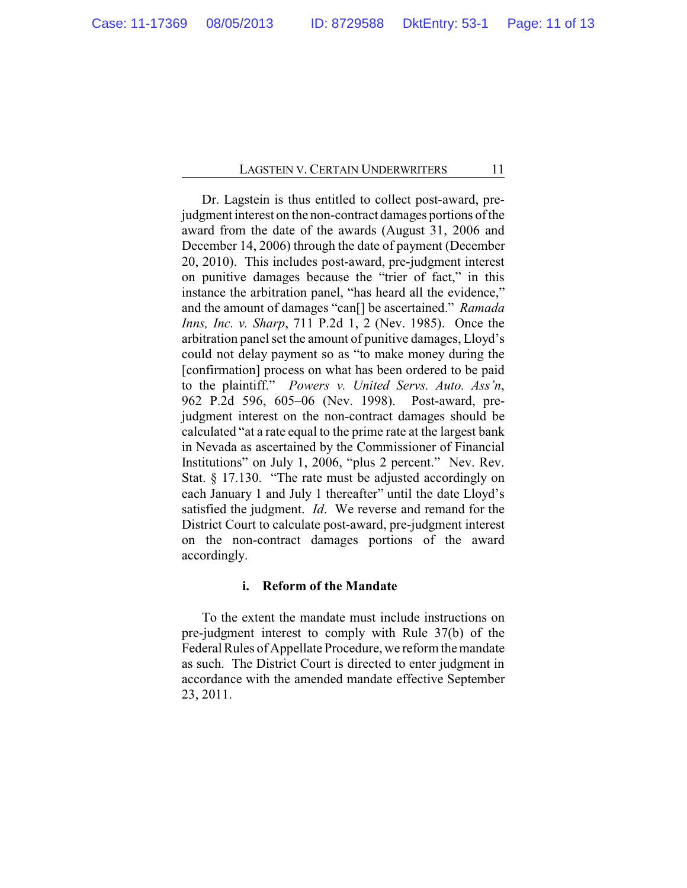Dr. Lagstein is thus entitled to collect post-award, prejudgment interest on the non-contract damages portions of the award from the date of the awards (August 31, 2006 and December 14, 2006) through the date of payment (December 20, 2010). This includes post-award, pre-judgment interest on punitive damages because the "trier of fact," in this instance the arbitration panel, "has heard all the evidence," and the amount of damages "can[] be ascertained." *Ramada Inns, Inc. v. Sharp*, 711 P.2d 1, 2 (Nev. 1985). Once the arbitration panel set the amount of punitive damages, Lloyd's could not delay payment so as "to make money during the [confirmation] process on what has been ordered to be paid to the plaintiff." *Powers v. United Servs. Auto. Ass'n*, 962 P.2d 596, 605–06 (Nev. 1998). Post-award, prejudgment interest on the non-contract damages should be calculated "at a rate equal to the prime rate at the largest bank in Nevada as ascertained by the Commissioner of Financial Institutions" on July 1, 2006, "plus 2 percent." Nev. Rev. Stat. § 17.130. "The rate must be adjusted accordingly on each January 1 and July 1 thereafter" until the date Lloyd's satisfied the judgment. *Id*. We reverse and remand for the District Court to calculate post-award, pre-judgment interest on the non-contract damages portions of the award accordingly.

## **i. Reform of the Mandate**

To the extent the mandate must include instructions on pre-judgment interest to comply with Rule 37(b) of the Federal Rules of Appellate Procedure, we reform the mandate as such. The District Court is directed to enter judgment in accordance with the amended mandate effective September 23, 2011.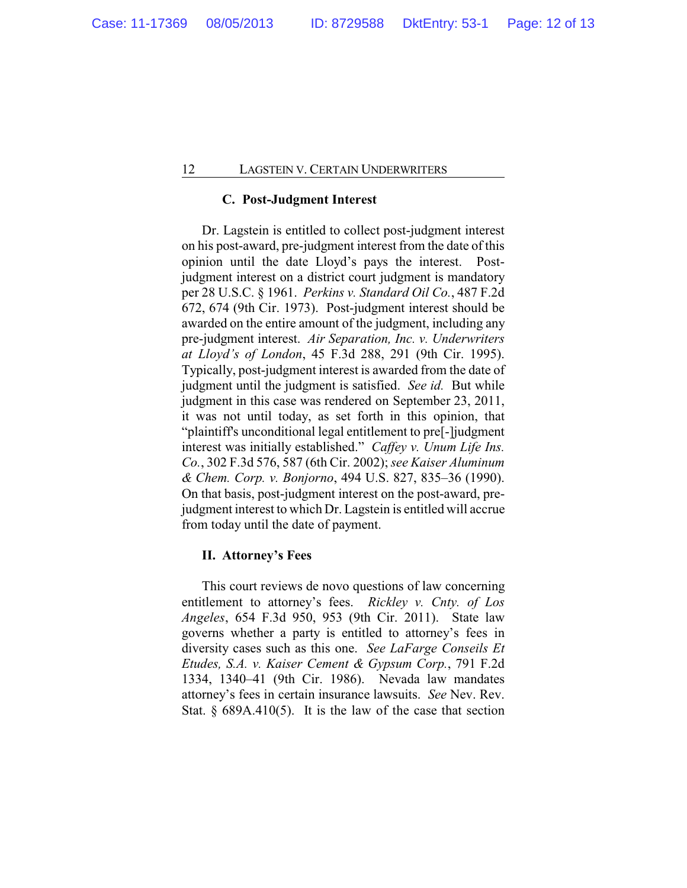## **C. Post-Judgment Interest**

Dr. Lagstein is entitled to collect post-judgment interest on his post-award, pre-judgment interest from the date of this opinion until the date Lloyd's pays the interest. Postjudgment interest on a district court judgment is mandatory per 28 U.S.C. § 1961. *Perkins v. Standard Oil Co.*, 487 F.2d 672, 674 (9th Cir. 1973). Post-judgment interest should be awarded on the entire amount of the judgment, including any pre-judgment interest. *Air Separation, Inc. v. Underwriters at Lloyd's of London*, 45 F.3d 288, 291 (9th Cir. 1995). Typically, post-judgment interest is awarded from the date of judgment until the judgment is satisfied. *See id.* But while judgment in this case was rendered on September 23, 2011, it was not until today, as set forth in this opinion, that "plaintiff's unconditional legal entitlement to pre[-]judgment interest was initially established." *Caffey v. Unum Life Ins. Co.*, 302 F.3d 576, 587 (6th Cir. 2002); *see Kaiser Aluminum & Chem. Corp. v. Bonjorno*, 494 U.S. 827, 835–36 (1990). On that basis, post-judgment interest on the post-award, prejudgment interest to which Dr. Lagstein is entitled will accrue from today until the date of payment.

### **II. Attorney's Fees**

This court reviews de novo questions of law concerning entitlement to attorney's fees. *Rickley v. Cnty. of Los Angeles*, 654 F.3d 950, 953 (9th Cir. 2011). State law governs whether a party is entitled to attorney's fees in diversity cases such as this one. *See LaFarge Conseils Et Etudes, S.A. v. Kaiser Cement & Gypsum Corp.*, 791 F.2d 1334, 1340–41 (9th Cir. 1986). Nevada law mandates attorney's fees in certain insurance lawsuits. *See* Nev. Rev. Stat.  $\S$  689A.410(5). It is the law of the case that section